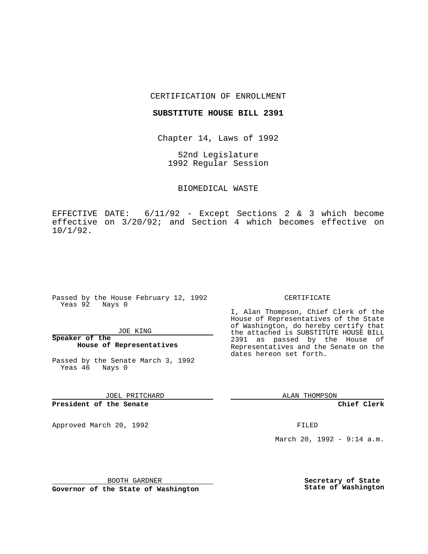### CERTIFICATION OF ENROLLMENT

### **SUBSTITUTE HOUSE BILL 2391**

Chapter 14, Laws of 1992

52nd Legislature 1992 Regular Session

## BIOMEDICAL WASTE

EFFECTIVE DATE: 6/11/92 - Except Sections 2 & 3 which become effective on 3/20/92; and Section 4 which becomes effective on 10/1/92.

Passed by the House February 12, 1992 Yeas 92 Nays 0

#### JOE KING

**Speaker of the House of Representatives**

Passed by the Senate March 3, 1992 Yeas 46 Nays 0

JOEL PRITCHARD

# **President of the Senate**

Approved March 20, 1992 **FILED** 

### CERTIFICATE

I, Alan Thompson, Chief Clerk of the House of Representatives of the State of Washington, do hereby certify that the attached is SUBSTITUTE HOUSE BILL 2391 as passed by the House of Representatives and the Senate on the dates hereon set forth.

ALAN THOMPSON

**Chief Clerk**

March 20, 1992 - 9:14 a.m.

BOOTH GARDNER

**Governor of the State of Washington**

**Secretary of State State of Washington**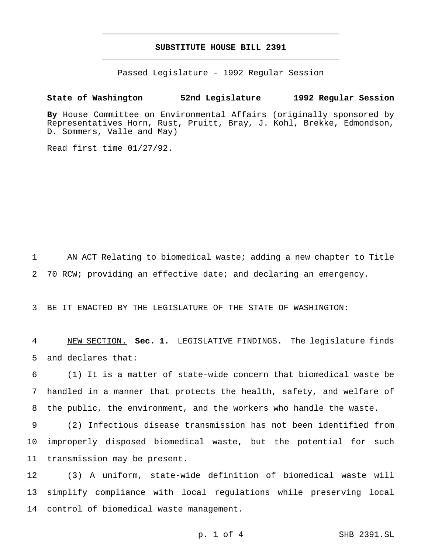# **SUBSTITUTE HOUSE BILL 2391** \_\_\_\_\_\_\_\_\_\_\_\_\_\_\_\_\_\_\_\_\_\_\_\_\_\_\_\_\_\_\_\_\_\_\_\_\_\_\_\_\_\_\_\_\_\_\_

\_\_\_\_\_\_\_\_\_\_\_\_\_\_\_\_\_\_\_\_\_\_\_\_\_\_\_\_\_\_\_\_\_\_\_\_\_\_\_\_\_\_\_\_\_\_\_

Passed Legislature - 1992 Regular Session

## **State of Washington 52nd Legislature 1992 Regular Session**

**By** House Committee on Environmental Affairs (originally sponsored by Representatives Horn, Rust, Pruitt, Bray, J. Kohl, Brekke, Edmondson, D. Sommers, Valle and May)

Read first time 01/27/92.

1 AN ACT Relating to biomedical waste; adding a new chapter to Title 2 70 RCW; providing an effective date; and declaring an emergency.

3 BE IT ENACTED BY THE LEGISLATURE OF THE STATE OF WASHINGTON:

4 NEW SECTION. **Sec. 1.** LEGISLATIVE FINDINGS. The legislature finds 5 and declares that:

6 (1) It is a matter of state-wide concern that biomedical waste be 7 handled in a manner that protects the health, safety, and welfare of 8 the public, the environment, and the workers who handle the waste.

9 (2) Infectious disease transmission has not been identified from 10 improperly disposed biomedical waste, but the potential for such 11 transmission may be present.

12 (3) A uniform, state-wide definition of biomedical waste will 13 simplify compliance with local regulations while preserving local 14 control of biomedical waste management.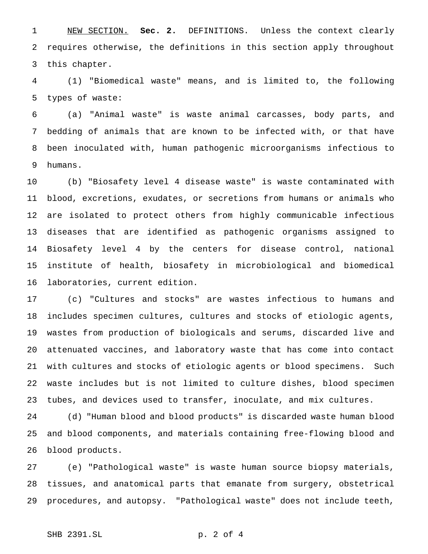NEW SECTION. **Sec. 2.** DEFINITIONS. Unless the context clearly requires otherwise, the definitions in this section apply throughout this chapter.

 (1) "Biomedical waste" means, and is limited to, the following types of waste:

 (a) "Animal waste" is waste animal carcasses, body parts, and bedding of animals that are known to be infected with, or that have been inoculated with, human pathogenic microorganisms infectious to humans.

 (b) "Biosafety level 4 disease waste" is waste contaminated with blood, excretions, exudates, or secretions from humans or animals who are isolated to protect others from highly communicable infectious diseases that are identified as pathogenic organisms assigned to Biosafety level 4 by the centers for disease control, national institute of health, biosafety in microbiological and biomedical laboratories, current edition.

 (c) "Cultures and stocks" are wastes infectious to humans and includes specimen cultures, cultures and stocks of etiologic agents, wastes from production of biologicals and serums, discarded live and attenuated vaccines, and laboratory waste that has come into contact with cultures and stocks of etiologic agents or blood specimens. Such waste includes but is not limited to culture dishes, blood specimen tubes, and devices used to transfer, inoculate, and mix cultures.

 (d) "Human blood and blood products" is discarded waste human blood and blood components, and materials containing free-flowing blood and blood products.

 (e) "Pathological waste" is waste human source biopsy materials, tissues, and anatomical parts that emanate from surgery, obstetrical procedures, and autopsy. "Pathological waste" does not include teeth,

## SHB 2391.SL p. 2 of 4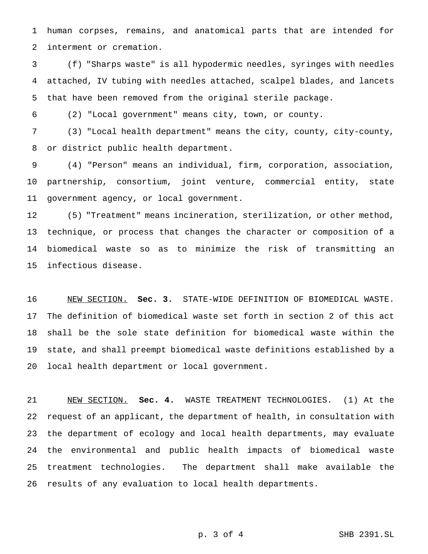human corpses, remains, and anatomical parts that are intended for interment or cremation.

 (f) "Sharps waste" is all hypodermic needles, syringes with needles attached, IV tubing with needles attached, scalpel blades, and lancets that have been removed from the original sterile package.

(2) "Local government" means city, town, or county.

 (3) "Local health department" means the city, county, city-county, or district public health department.

 (4) "Person" means an individual, firm, corporation, association, partnership, consortium, joint venture, commercial entity, state government agency, or local government.

 (5) "Treatment" means incineration, sterilization, or other method, technique, or process that changes the character or composition of a biomedical waste so as to minimize the risk of transmitting an infectious disease.

 NEW SECTION. **Sec. 3.** STATE-WIDE DEFINITION OF BIOMEDICAL WASTE. The definition of biomedical waste set forth in section 2 of this act shall be the sole state definition for biomedical waste within the state, and shall preempt biomedical waste definitions established by a local health department or local government.

 NEW SECTION. **Sec. 4.** WASTE TREATMENT TECHNOLOGIES. (1) At the request of an applicant, the department of health, in consultation with the department of ecology and local health departments, may evaluate the environmental and public health impacts of biomedical waste treatment technologies. The department shall make available the results of any evaluation to local health departments.

p. 3 of 4 SHB 2391.SL